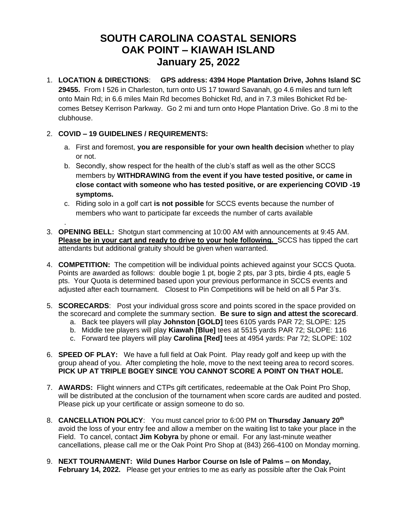## **SOUTH CAROLINA COASTAL SENIORS OAK POINT – KIAWAH ISLAND January 25, 2022**

- 1. **LOCATION & DIRECTIONS**: **GPS address: 4394 Hope Plantation Drive, Johns Island SC 29455.** From I 526 in Charleston, turn onto US 17 toward Savanah, go 4.6 miles and turn left onto Main Rd; in 6.6 miles Main Rd becomes Bohicket Rd, and in 7.3 miles Bohicket Rd becomes Betsey Kerrison Parkway. Go 2 mi and turn onto Hope Plantation Drive. Go .8 mi to the clubhouse.
- 2. **COVID – 19 GUIDELINES / REQUIREMENTS:**

.

- a. First and foremost, **you are responsible for your own health decision** whether to play or not.
- b. Secondly, show respect for the health of the club's staff as well as the other SCCS members by **WITHDRAWING from the event if you have tested positive, or came in close contact with someone who has tested positive, or are experiencing COVID -19 symptoms.**
- c. Riding solo in a golf cart **is not possible** for SCCS events because the number of members who want to participate far exceeds the number of carts available
- 3. **OPENING BELL:** Shotgun start commencing at 10:00 AM with announcements at 9:45 AM. **Please be in your cart and ready to drive to your hole following.** SCCS has tipped the cart attendants but additional gratuity should be given when warranted.
- 4. **COMPETITION:** The competition will be individual points achieved against your SCCS Quota. Points are awarded as follows: double bogie 1 pt, bogie 2 pts, par 3 pts, birdie 4 pts, eagle 5 pts. Your Quota is determined based upon your previous performance in SCCS events and adjusted after each tournament. Closest to Pin Competitions will be held on all 5 Par 3's.
- 5. **SCORECARDS**: Post your individual gross score and points scored in the space provided on the scorecard and complete the summary section. **Be sure to sign and attest the scorecard**.
	- a. Back tee players will play **Johnston [GOLD]** tees 6105 yards PAR 72; SLOPE: 125
	- b. Middle tee players will play **Kiawah [Blue]** tees at 5515 yards PAR 72; SLOPE: 116
	- c. Forward tee players will play **Carolina [Red]** tees at 4954 yards: Par 72; SLOPE: 102
- 6. **SPEED OF PLAY:** We have a full field at Oak Point. Play ready golf and keep up with the group ahead of you. After completing the hole, move to the next teeing area to record scores. **PICK UP AT TRIPLE BOGEY SINCE YOU CANNOT SCORE A POINT ON THAT HOLE.**
- 7. **AWARDS:** Flight winners and CTPs gift certificates, redeemable at the Oak Point Pro Shop, will be distributed at the conclusion of the tournament when score cards are audited and posted. Please pick up your certificate or assign someone to do so.
- 8. **CANCELLATION POLICY**: You must cancel prior to 6:00 PM on **Thursday January 20 th** avoid the loss of your entry fee and allow a member on the waiting list to take your place in the Field. To cancel, contact **Jim Kobyra** by phone or email. For any last-minute weather cancellations, please call me or the Oak Point Pro Shop at (843) 266-4100 on Monday morning.
- 9. **NEXT TOURNAMENT: Wild Dunes Harbor Course on Isle of Palms – on Monday, February 14, 2022.** Please get your entries to me as early as possible after the Oak Point